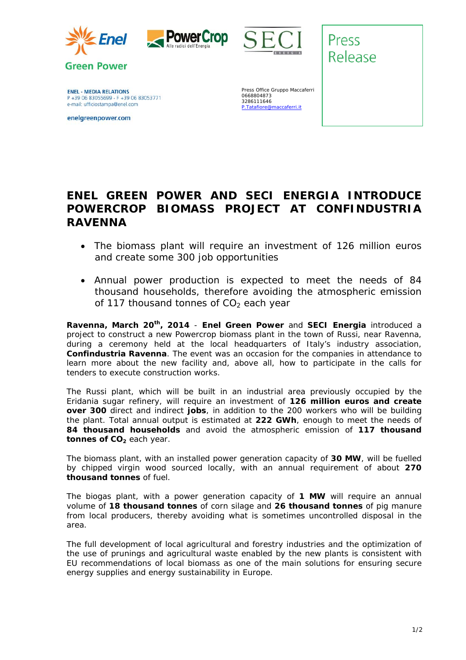

**Green Power** 





Press Release

**ENEL - MEDIA RELATIONS** P +39 06 83055699 - F +39 06 83053771 e-mail: ufficiostampa@enel.com

enelgreenpower.com

Press Office Gruppo Maccaferri 0668804873 3286111646 P.Tatafiore@maccaferri.it

## **ENEL GREEN POWER AND SECI ENERGIA INTRODUCE POWERCROP BIOMASS PROJECT AT CONFINDUSTRIA RAVENNA**

- *The biomass plant will require an investment of 126 million euros and create some 300 job opportunities*
- *Annual power production is expected to meet the needs of 84 thousand households, therefore avoiding the atmospheric emission of 117 thousand tonnes of CO2 each year*

**Ravenna, March 20th, 2014** - **Enel Green Power** and **SECI Energia** introduced a project to construct a new Powercrop biomass plant in the town of Russi, near Ravenna, during a ceremony held at the local headquarters of Italy's industry association, **Confindustria Ravenna**. The event was an occasion for the companies in attendance to learn more about the new facility and, above all, how to participate in the calls for tenders to execute construction works.

The Russi plant, which will be built in an industrial area previously occupied by the Eridania sugar refinery, will require an investment of **126 million euros and create over 300** direct and indirect **jobs**, in addition to the 200 workers who will be building the plant. Total annual output is estimated at **222 GWh**, enough to meet the needs of **84 thousand households** and avoid the atmospheric emission of **117 thousand tonnes of CO<sub>2</sub>** each year.

The biomass plant, with an installed power generation capacity of **30 MW**, will be fuelled by chipped virgin wood sourced locally, with an annual requirement of about **270 thousand tonnes** of fuel.

The biogas plant, with a power generation capacity of **1 MW** will require an annual volume of **18 thousand tonnes** of corn silage and **26 thousand tonnes** of pig manure from local producers, thereby avoiding what is sometimes uncontrolled disposal in the area.

The full development of local agricultural and forestry industries and the optimization of the use of prunings and agricultural waste enabled by the new plants is consistent with EU recommendations of local biomass as one of the main solutions for ensuring secure energy supplies and energy sustainability in Europe.